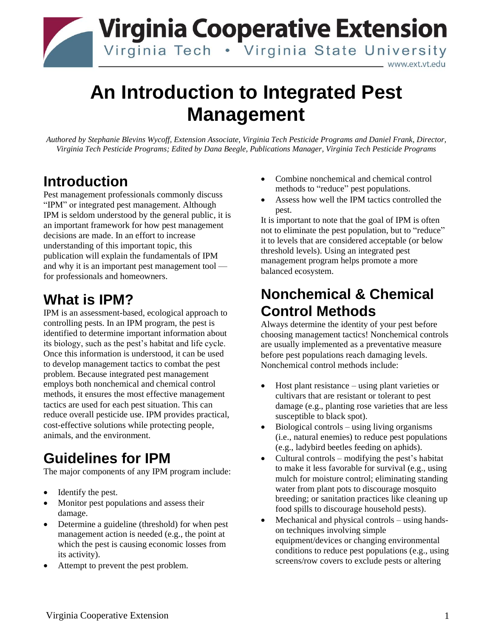

# **An Introduction to Integrated Pest Management**

*Authored by Stephanie Blevins Wycoff, Extension Associate, Virginia Tech Pesticide Programs and Daniel Frank, Director, Virginia Tech Pesticide Programs; Edited by Dana Beegle, Publications Manager, Virginia Tech Pesticide Programs*

### **Introduction**

Pest management professionals commonly discuss "IPM" or integrated pest management. Although IPM is seldom understood by the general public, it is an important framework for how pest management decisions are made. In an effort to increase understanding of this important topic, this publication will explain the fundamentals of IPM and why it is an important pest management tool for professionals and homeowners.

### **What is IPM?**

IPM is an assessment-based, ecological approach to controlling pests. In an IPM program, the pest is identified to determine important information about its biology, such as the pest's habitat and life cycle. Once this information is understood, it can be used to develop management tactics to combat the pest problem. Because integrated pest management employs both nonchemical and chemical control methods, it ensures the most effective management tactics are used for each pest situation. This can reduce overall pesticide use. IPM provides practical, cost-effective solutions while protecting people, animals, and the environment.

## **Guidelines for IPM**

The major components of any IPM program include:

- Identify the pest.
- Monitor pest populations and assess their damage.
- Determine a guideline (threshold) for when pest management action is needed (e.g., the point at which the pest is causing economic losses from its activity).
- Attempt to prevent the pest problem.
- Combine nonchemical and chemical control methods to "reduce" pest populations.
- Assess how well the IPM tactics controlled the pest.

It is important to note that the goal of IPM is often not to eliminate the pest population, but to "reduce" it to levels that are considered acceptable (or below threshold levels). Using an integrated pest management program helps promote a more balanced ecosystem.

### **Nonchemical & Chemical Control Methods**

Always determine the identity of your pest before choosing management tactics! Nonchemical controls are usually implemented as a preventative measure before pest populations reach damaging levels. Nonchemical control methods include:

- Host plant resistance using plant varieties or cultivars that are resistant or tolerant to pest damage (e.g., planting rose varieties that are less susceptible to black spot).
- Biological controls using living organisms (i.e., natural enemies) to reduce pest populations (e.g., ladybird beetles feeding on aphids).
- Cultural controls modifying the pest's habitat to make it less favorable for survival (e.g., using mulch for moisture control; eliminating standing water from plant pots to discourage mosquito breeding; or sanitation practices like cleaning up food spills to discourage household pests).
- Mechanical and physical controls using handson techniques involving simple equipment/devices or changing environmental conditions to reduce pest populations (e.g., using screens/row covers to exclude pests or altering